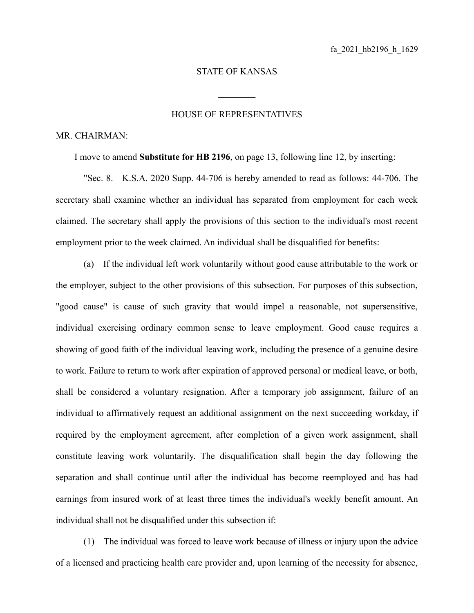## STATE OF KANSAS

 $\mathcal{L}_\text{max}$ 

## HOUSE OF REPRESENTATIVES

## MR. CHAIRMAN:

I move to amend **Substitute for HB 2196**, on page 13, following line 12, by inserting:

"Sec. 8. K.S.A. 2020 Supp. 44-706 is hereby amended to read as follows: 44-706. The secretary shall examine whether an individual has separated from employment for each week claimed. The secretary shall apply the provisions of this section to the individual's most recent employment prior to the week claimed. An individual shall be disqualified for benefits:

(a) If the individual left work voluntarily without good cause attributable to the work or the employer, subject to the other provisions of this subsection. For purposes of this subsection, "good cause" is cause of such gravity that would impel a reasonable, not supersensitive, individual exercising ordinary common sense to leave employment. Good cause requires a showing of good faith of the individual leaving work, including the presence of a genuine desire to work. Failure to return to work after expiration of approved personal or medical leave, or both, shall be considered a voluntary resignation. After a temporary job assignment, failure of an individual to affirmatively request an additional assignment on the next succeeding workday, if required by the employment agreement, after completion of a given work assignment, shall constitute leaving work voluntarily. The disqualification shall begin the day following the separation and shall continue until after the individual has become reemployed and has had earnings from insured work of at least three times the individual's weekly benefit amount. An individual shall not be disqualified under this subsection if:

(1) The individual was forced to leave work because of illness or injury upon the advice of a licensed and practicing health care provider and, upon learning of the necessity for absence,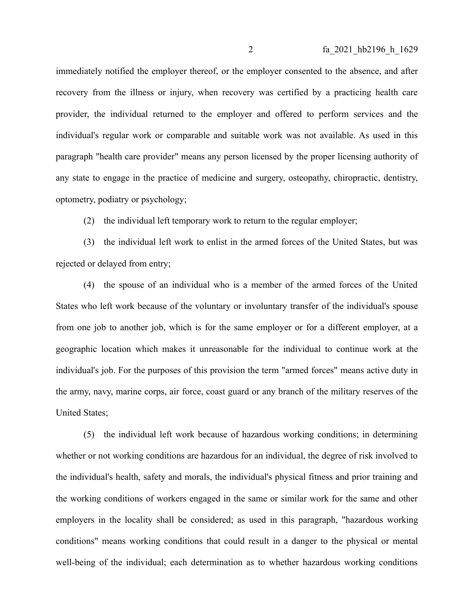immediately notified the employer thereof, or the employer consented to the absence, and after recovery from the illness or injury, when recovery was certified by a practicing health care provider, the individual returned to the employer and offered to perform services and the individual's regular work or comparable and suitable work was not available. As used in this paragraph "health care provider" means any person licensed by the proper licensing authority of any state to engage in the practice of medicine and surgery, osteopathy, chiropractic, dentistry, optometry, podiatry or psychology;

(2) the individual left temporary work to return to the regular employer;

(3) the individual left work to enlist in the armed forces of the United States, but was rejected or delayed from entry;

(4) the spouse of an individual who is a member of the armed forces of the United States who left work because of the voluntary or involuntary transfer of the individual's spouse from one job to another job, which is for the same employer or for a different employer, at a geographic location which makes it unreasonable for the individual to continue work at the individual's job. For the purposes of this provision the term "armed forces" means active duty in the army, navy, marine corps, air force, coast guard or any branch of the military reserves of the United States;

(5) the individual left work because of hazardous working conditions; in determining whether or not working conditions are hazardous for an individual, the degree of risk involved to the individual's health, safety and morals, the individual's physical fitness and prior training and the working conditions of workers engaged in the same or similar work for the same and other employers in the locality shall be considered; as used in this paragraph, "hazardous working conditions" means working conditions that could result in a danger to the physical or mental well-being of the individual; each determination as to whether hazardous working conditions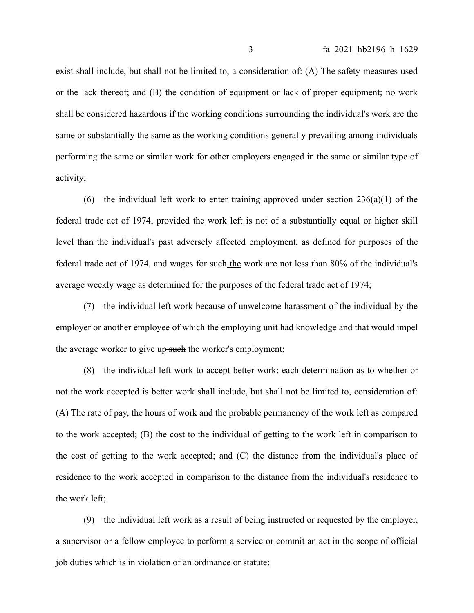exist shall include, but shall not be limited to, a consideration of: (A) The safety measures used or the lack thereof; and (B) the condition of equipment or lack of proper equipment; no work shall be considered hazardous if the working conditions surrounding the individual's work are the same or substantially the same as the working conditions generally prevailing among individuals performing the same or similar work for other employers engaged in the same or similar type of activity;

(6) the individual left work to enter training approved under section  $236(a)(1)$  of the federal trade act of 1974, provided the work left is not of a substantially equal or higher skill level than the individual's past adversely affected employment, as defined for purposes of the federal trade act of 1974, and wages for-such the work are not less than 80% of the individual's average weekly wage as determined for the purposes of the federal trade act of 1974;

(7) the individual left work because of unwelcome harassment of the individual by the employer or another employee of which the employing unit had knowledge and that would impel the average worker to give up-such the worker's employment;

(8) the individual left work to accept better work; each determination as to whether or not the work accepted is better work shall include, but shall not be limited to, consideration of: (A) The rate of pay, the hours of work and the probable permanency of the work left as compared to the work accepted; (B) the cost to the individual of getting to the work left in comparison to the cost of getting to the work accepted; and (C) the distance from the individual's place of residence to the work accepted in comparison to the distance from the individual's residence to the work left;

(9) the individual left work as a result of being instructed or requested by the employer, a supervisor or a fellow employee to perform a service or commit an act in the scope of official job duties which is in violation of an ordinance or statute;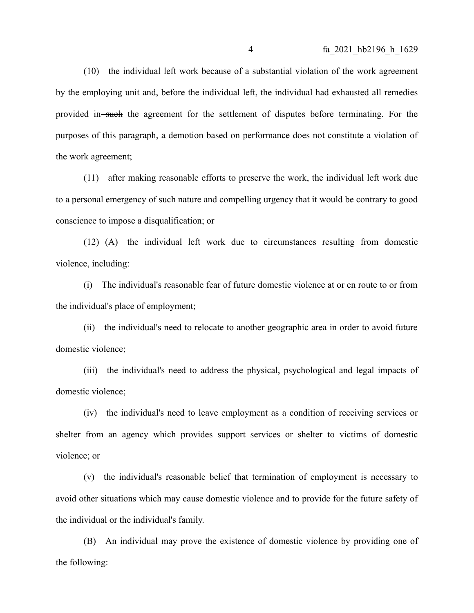(10) the individual left work because of a substantial violation of the work agreement by the employing unit and, before the individual left, the individual had exhausted all remedies provided in such the agreement for the settlement of disputes before terminating. For the purposes of this paragraph, a demotion based on performance does not constitute a violation of the work agreement;

(11) after making reasonable efforts to preserve the work, the individual left work due to a personal emergency of such nature and compelling urgency that it would be contrary to good conscience to impose a disqualification; or

(12) (A) the individual left work due to circumstances resulting from domestic violence, including:

(i) The individual's reasonable fear of future domestic violence at or en route to or from the individual's place of employment;

(ii) the individual's need to relocate to another geographic area in order to avoid future domestic violence;

(iii) the individual's need to address the physical, psychological and legal impacts of domestic violence;

(iv) the individual's need to leave employment as a condition of receiving services or shelter from an agency which provides support services or shelter to victims of domestic violence; or

(v) the individual's reasonable belief that termination of employment is necessary to avoid other situations which may cause domestic violence and to provide for the future safety of the individual or the individual's family.

(B) An individual may prove the existence of domestic violence by providing one of the following: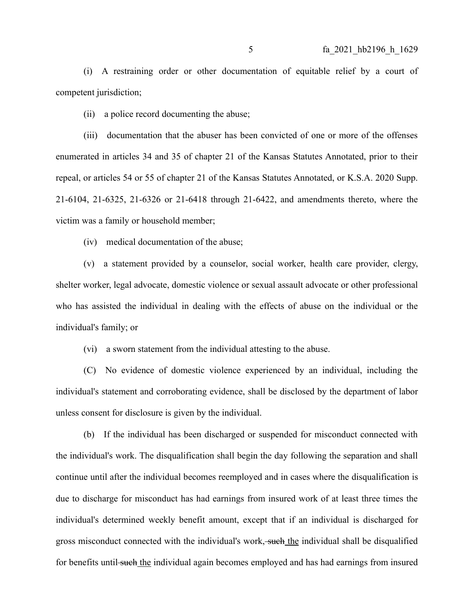(i) A restraining order or other documentation of equitable relief by a court of competent jurisdiction;

(ii) a police record documenting the abuse;

(iii) documentation that the abuser has been convicted of one or more of the offenses enumerated in articles 34 and 35 of chapter 21 of the Kansas Statutes Annotated, prior to their repeal, or articles 54 or 55 of chapter 21 of the Kansas Statutes Annotated, or K.S.A. 2020 Supp. 21-6104, 21-6325, 21-6326 or 21-6418 through 21-6422, and amendments thereto, where the victim was a family or household member;

(iv) medical documentation of the abuse;

(v) a statement provided by a counselor, social worker, health care provider, clergy, shelter worker, legal advocate, domestic violence or sexual assault advocate or other professional who has assisted the individual in dealing with the effects of abuse on the individual or the individual's family; or

(vi) a sworn statement from the individual attesting to the abuse.

(C) No evidence of domestic violence experienced by an individual, including the individual's statement and corroborating evidence, shall be disclosed by the department of labor unless consent for disclosure is given by the individual.

(b) If the individual has been discharged or suspended for misconduct connected with the individual's work. The disqualification shall begin the day following the separation and shall continue until after the individual becomes reemployed and in cases where the disqualification is due to discharge for misconduct has had earnings from insured work of at least three times the individual's determined weekly benefit amount, except that if an individual is discharged for gross misconduct connected with the individual's work, such the individual shall be disqualified for benefits until such the individual again becomes employed and has had earnings from insured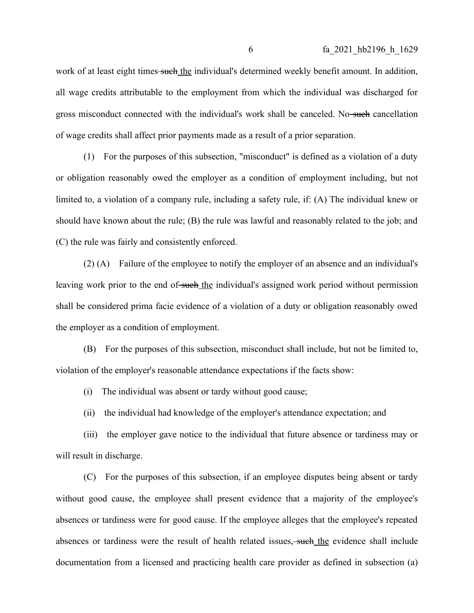work of at least eight times such the individual's determined weekly benefit amount. In addition, all wage credits attributable to the employment from which the individual was discharged for gross misconduct connected with the individual's work shall be canceled. No-such cancellation of wage credits shall affect prior payments made as a result of a prior separation.

(1) For the purposes of this subsection, "misconduct" is defined as a violation of a duty or obligation reasonably owed the employer as a condition of employment including, but not limited to, a violation of a company rule, including a safety rule, if: (A) The individual knew or should have known about the rule; (B) the rule was lawful and reasonably related to the job; and (C) the rule was fairly and consistently enforced.

(2) (A) Failure of the employee to notify the employer of an absence and an individual's leaving work prior to the end of such the individual's assigned work period without permission shall be considered prima facie evidence of a violation of a duty or obligation reasonably owed the employer as a condition of employment.

(B) For the purposes of this subsection, misconduct shall include, but not be limited to, violation of the employer's reasonable attendance expectations if the facts show:

(i) The individual was absent or tardy without good cause;

(ii) the individual had knowledge of the employer's attendance expectation; and

(iii) the employer gave notice to the individual that future absence or tardiness may or will result in discharge.

(C) For the purposes of this subsection, if an employee disputes being absent or tardy without good cause, the employee shall present evidence that a majority of the employee's absences or tardiness were for good cause. If the employee alleges that the employee's repeated absences or tardiness were the result of health related issues, such the evidence shall include documentation from a licensed and practicing health care provider as defined in subsection (a)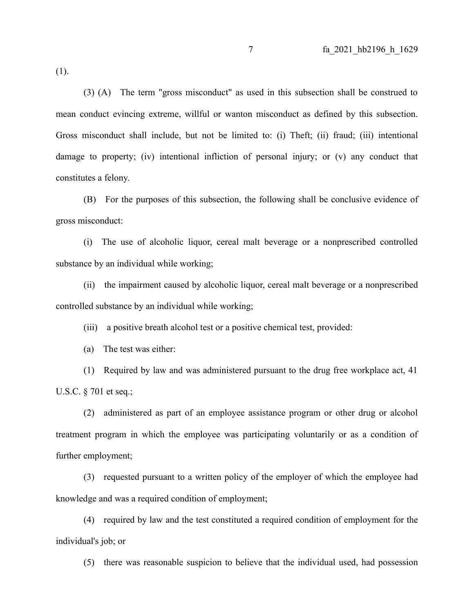(1).

(3) (A) The term "gross misconduct" as used in this subsection shall be construed to mean conduct evincing extreme, willful or wanton misconduct as defined by this subsection. Gross misconduct shall include, but not be limited to: (i) Theft; (ii) fraud; (iii) intentional damage to property; (iv) intentional infliction of personal injury; or (v) any conduct that constitutes a felony.

(B) For the purposes of this subsection, the following shall be conclusive evidence of gross misconduct:

(i) The use of alcoholic liquor, cereal malt beverage or a nonprescribed controlled substance by an individual while working;

(ii) the impairment caused by alcoholic liquor, cereal malt beverage or a nonprescribed controlled substance by an individual while working;

(iii) a positive breath alcohol test or a positive chemical test, provided:

(a) The test was either:

(1) Required by law and was administered pursuant to the drug free workplace act, 41 U.S.C. § 701 et seq.;

(2) administered as part of an employee assistance program or other drug or alcohol treatment program in which the employee was participating voluntarily or as a condition of further employment;

(3) requested pursuant to a written policy of the employer of which the employee had knowledge and was a required condition of employment;

(4) required by law and the test constituted a required condition of employment for the individual's job; or

(5) there was reasonable suspicion to believe that the individual used, had possession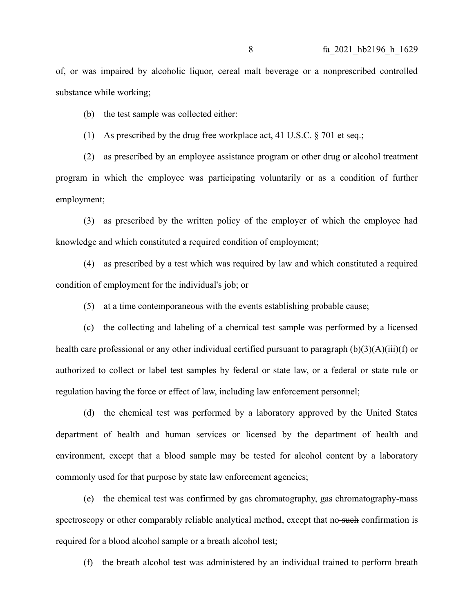of, or was impaired by alcoholic liquor, cereal malt beverage or a nonprescribed controlled substance while working;

(b) the test sample was collected either:

(1) As prescribed by the drug free workplace act, 41 U.S.C. § 701 et seq.;

(2) as prescribed by an employee assistance program or other drug or alcohol treatment program in which the employee was participating voluntarily or as a condition of further employment;

(3) as prescribed by the written policy of the employer of which the employee had knowledge and which constituted a required condition of employment;

(4) as prescribed by a test which was required by law and which constituted a required condition of employment for the individual's job; or

(5) at a time contemporaneous with the events establishing probable cause;

(c) the collecting and labeling of a chemical test sample was performed by a licensed health care professional or any other individual certified pursuant to paragraph (b)(3)(A)(iii)(f) or authorized to collect or label test samples by federal or state law, or a federal or state rule or regulation having the force or effect of law, including law enforcement personnel;

(d) the chemical test was performed by a laboratory approved by the United States department of health and human services or licensed by the department of health and environment, except that a blood sample may be tested for alcohol content by a laboratory commonly used for that purpose by state law enforcement agencies;

(e) the chemical test was confirmed by gas chromatography, gas chromatography-mass spectroscopy or other comparably reliable analytical method, except that no such confirmation is required for a blood alcohol sample or a breath alcohol test;

(f) the breath alcohol test was administered by an individual trained to perform breath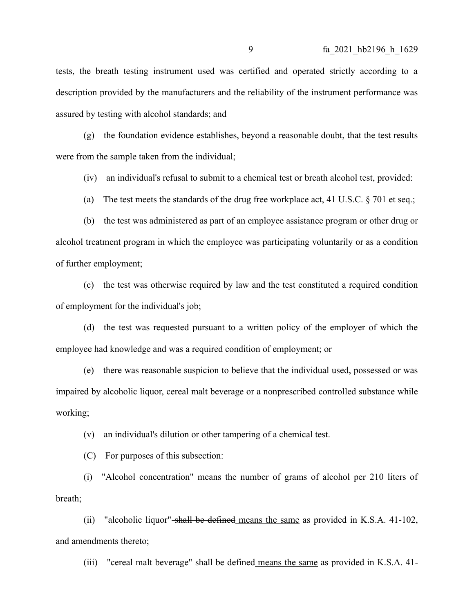tests, the breath testing instrument used was certified and operated strictly according to a description provided by the manufacturers and the reliability of the instrument performance was assured by testing with alcohol standards; and

(g) the foundation evidence establishes, beyond a reasonable doubt, that the test results were from the sample taken from the individual;

(iv) an individual's refusal to submit to a chemical test or breath alcohol test, provided:

(a) The test meets the standards of the drug free workplace act, 41 U.S.C.  $\S$  701 et seq.;

(b) the test was administered as part of an employee assistance program or other drug or alcohol treatment program in which the employee was participating voluntarily or as a condition of further employment;

(c) the test was otherwise required by law and the test constituted a required condition of employment for the individual's job;

(d) the test was requested pursuant to a written policy of the employer of which the employee had knowledge and was a required condition of employment; or

(e) there was reasonable suspicion to believe that the individual used, possessed or was impaired by alcoholic liquor, cereal malt beverage or a nonprescribed controlled substance while working;

(v) an individual's dilution or other tampering of a chemical test.

(C) For purposes of this subsection:

(i) "Alcohol concentration" means the number of grams of alcohol per 210 liters of breath;

(ii) "alcoholic liquor" shall be defined means the same as provided in K.S.A. 41-102, and amendments thereto;

(iii) "cereal malt beverage" shall be defined means the same as provided in K.S.A.  $41$ -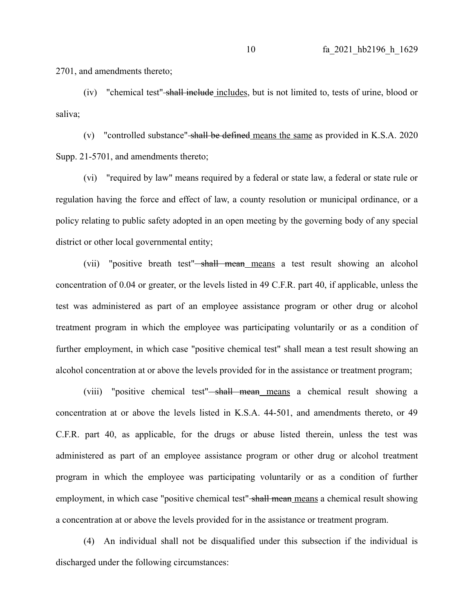2701, and amendments thereto;

(iv) "chemical test" shall include includes, but is not limited to, tests of urine, blood or saliva;

(v) "controlled substance" shall be defined means the same as provided in K.S.A. 2020 Supp. 21-5701, and amendments thereto;

(vi) "required by law" means required by a federal or state law, a federal or state rule or regulation having the force and effect of law, a county resolution or municipal ordinance, or a policy relating to public safety adopted in an open meeting by the governing body of any special district or other local governmental entity;

(vii) "positive breath test"<del>-shall mean means</del> a test result showing an alcohol concentration of 0.04 or greater, or the levels listed in 49 C.F.R. part 40, if applicable, unless the test was administered as part of an employee assistance program or other drug or alcohol treatment program in which the employee was participating voluntarily or as a condition of further employment, in which case "positive chemical test" shall mean a test result showing an alcohol concentration at or above the levels provided for in the assistance or treatment program;

(viii) "positive chemical test" shall mean means a chemical result showing a concentration at or above the levels listed in K.S.A. 44-501, and amendments thereto, or 49 C.F.R. part 40, as applicable, for the drugs or abuse listed therein, unless the test was administered as part of an employee assistance program or other drug or alcohol treatment program in which the employee was participating voluntarily or as a condition of further employment, in which case "positive chemical test" shall mean means a chemical result showing a concentration at or above the levels provided for in the assistance or treatment program.

(4) An individual shall not be disqualified under this subsection if the individual is discharged under the following circumstances: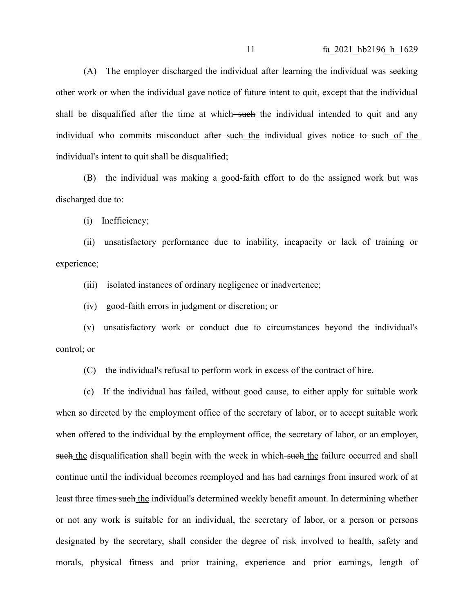(A) The employer discharged the individual after learning the individual was seeking other work or when the individual gave notice of future intent to quit, except that the individual shall be disqualified after the time at which—such the individual intended to quit and any individual who commits misconduct after<del>-such the</del> individual gives notice to such of the individual's intent to quit shall be disqualified;

(B) the individual was making a good-faith effort to do the assigned work but was discharged due to:

(i) Inefficiency;

(ii) unsatisfactory performance due to inability, incapacity or lack of training or experience;

(iii) isolated instances of ordinary negligence or inadvertence;

(iv) good-faith errors in judgment or discretion; or

(v) unsatisfactory work or conduct due to circumstances beyond the individual's control; or

(C) the individual's refusal to perform work in excess of the contract of hire.

(c) If the individual has failed, without good cause, to either apply for suitable work when so directed by the employment office of the secretary of labor, or to accept suitable work when offered to the individual by the employment office, the secretary of labor, or an employer, such the disqualification shall begin with the week in which such the failure occurred and shall continue until the individual becomes reemployed and has had earnings from insured work of at least three times such the individual's determined weekly benefit amount. In determining whether or not any work is suitable for an individual, the secretary of labor, or a person or persons designated by the secretary, shall consider the degree of risk involved to health, safety and morals, physical fitness and prior training, experience and prior earnings, length of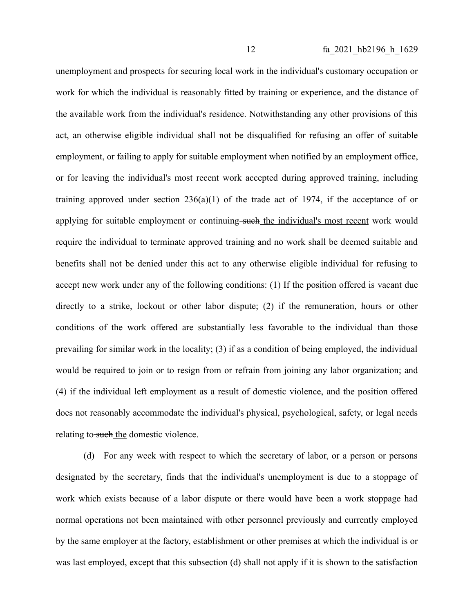unemployment and prospects for securing local work in the individual's customary occupation or work for which the individual is reasonably fitted by training or experience, and the distance of the available work from the individual's residence. Notwithstanding any other provisions of this act, an otherwise eligible individual shall not be disqualified for refusing an offer of suitable employment, or failing to apply for suitable employment when notified by an employment office, or for leaving the individual's most recent work accepted during approved training, including training approved under section  $236(a)(1)$  of the trade act of 1974, if the acceptance of or applying for suitable employment or continuing-such the individual's most recent work would require the individual to terminate approved training and no work shall be deemed suitable and benefits shall not be denied under this act to any otherwise eligible individual for refusing to accept new work under any of the following conditions: (1) If the position offered is vacant due directly to a strike, lockout or other labor dispute; (2) if the remuneration, hours or other conditions of the work offered are substantially less favorable to the individual than those prevailing for similar work in the locality; (3) if as a condition of being employed, the individual would be required to join or to resign from or refrain from joining any labor organization; and (4) if the individual left employment as a result of domestic violence, and the position offered does not reasonably accommodate the individual's physical, psychological, safety, or legal needs relating to such the domestic violence.

(d) For any week with respect to which the secretary of labor, or a person or persons designated by the secretary, finds that the individual's unemployment is due to a stoppage of work which exists because of a labor dispute or there would have been a work stoppage had normal operations not been maintained with other personnel previously and currently employed by the same employer at the factory, establishment or other premises at which the individual is or was last employed, except that this subsection (d) shall not apply if it is shown to the satisfaction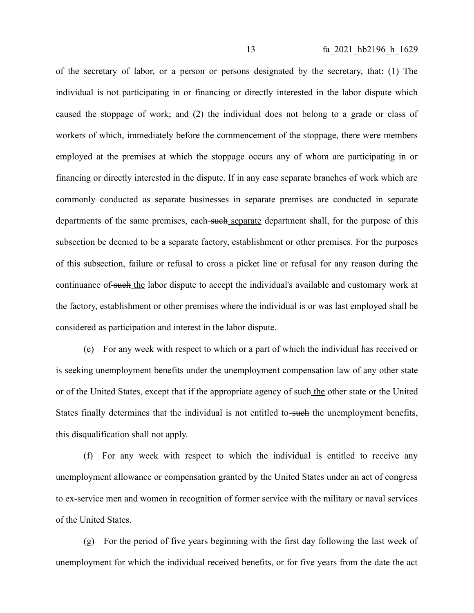of the secretary of labor, or a person or persons designated by the secretary, that: (1) The individual is not participating in or financing or directly interested in the labor dispute which caused the stoppage of work; and (2) the individual does not belong to a grade or class of workers of which, immediately before the commencement of the stoppage, there were members employed at the premises at which the stoppage occurs any of whom are participating in or financing or directly interested in the dispute. If in any case separate branches of work which are commonly conducted as separate businesses in separate premises are conducted in separate departments of the same premises, each such separate department shall, for the purpose of this subsection be deemed to be a separate factory, establishment or other premises. For the purposes of this subsection, failure or refusal to cross a picket line or refusal for any reason during the continuance of such the labor dispute to accept the individual's available and customary work at the factory, establishment or other premises where the individual is or was last employed shall be considered as participation and interest in the labor dispute.

(e) For any week with respect to which or a part of which the individual has received or is seeking unemployment benefits under the unemployment compensation law of any other state or of the United States, except that if the appropriate agency of such the other state or the United States finally determines that the individual is not entitled to-such the unemployment benefits, this disqualification shall not apply.

(f) For any week with respect to which the individual is entitled to receive any unemployment allowance or compensation granted by the United States under an act of congress to ex-service men and women in recognition of former service with the military or naval services of the United States.

(g) For the period of five years beginning with the first day following the last week of unemployment for which the individual received benefits, or for five years from the date the act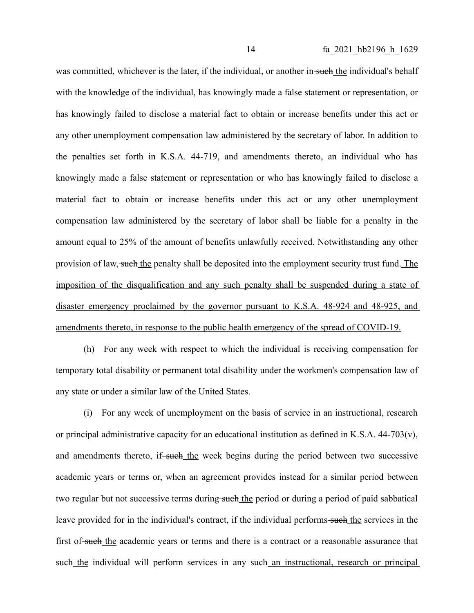was committed, whichever is the later, if the individual, or another in such the individual's behalf with the knowledge of the individual, has knowingly made a false statement or representation, or has knowingly failed to disclose a material fact to obtain or increase benefits under this act or any other unemployment compensation law administered by the secretary of labor. In addition to the penalties set forth in K.S.A. 44-719, and amendments thereto, an individual who has knowingly made a false statement or representation or who has knowingly failed to disclose a material fact to obtain or increase benefits under this act or any other unemployment compensation law administered by the secretary of labor shall be liable for a penalty in the amount equal to 25% of the amount of benefits unlawfully received. Notwithstanding any other provision of law, such the penalty shall be deposited into the employment security trust fund. The imposition of the disqualification and any such penalty shall be suspended during a state of disaster emergency proclaimed by the governor pursuant to K.S.A. 48-924 and 48-925, and amendments thereto, in response to the public health emergency of the spread of COVID-19.

(h) For any week with respect to which the individual is receiving compensation for temporary total disability or permanent total disability under the workmen's compensation law of any state or under a similar law of the United States.

(i) For any week of unemployment on the basis of service in an instructional, research or principal administrative capacity for an educational institution as defined in K.S.A. 44-703(v), and amendments thereto, if-such the week begins during the period between two successive academic years or terms or, when an agreement provides instead for a similar period between two regular but not successive terms during such the period or during a period of paid sabbatical leave provided for in the individual's contract, if the individual performs-such the services in the first of such the academic years or terms and there is a contract or a reasonable assurance that such the individual will perform services in any such an instructional, research or principal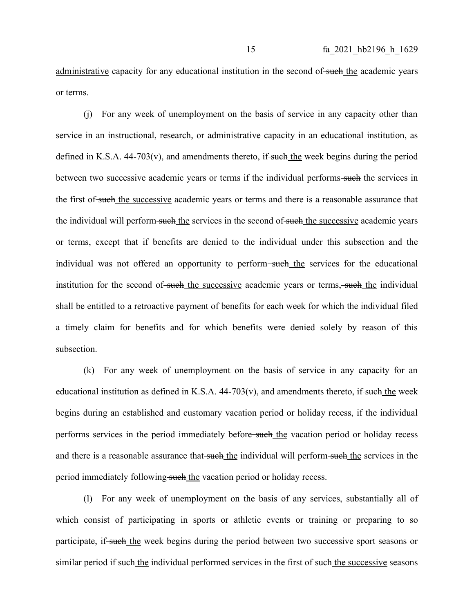administrative capacity for any educational institution in the second of such the academic years or terms.

(j) For any week of unemployment on the basis of service in any capacity other than service in an instructional, research, or administrative capacity in an educational institution, as defined in K.S.A.  $44-703(v)$ , and amendments thereto, if such the week begins during the period between two successive academic years or terms if the individual performs-such the services in the first of such the successive academic years or terms and there is a reasonable assurance that the individual will perform such the services in the second of such the successive academic years or terms, except that if benefits are denied to the individual under this subsection and the individual was not offered an opportunity to perform—such the services for the educational institution for the second of such the successive academic years or terms, such the individual shall be entitled to a retroactive payment of benefits for each week for which the individual filed a timely claim for benefits and for which benefits were denied solely by reason of this subsection.

(k) For any week of unemployment on the basis of service in any capacity for an educational institution as defined in K.S.A.  $44-703(v)$ , and amendments thereto, if such the week begins during an established and customary vacation period or holiday recess, if the individual performs services in the period immediately before-such the vacation period or holiday recess and there is a reasonable assurance that-such the individual will perform-such the services in the period immediately following such the vacation period or holiday recess.

(l) For any week of unemployment on the basis of any services, substantially all of which consist of participating in sports or athletic events or training or preparing to so participate, if such the week begins during the period between two successive sport seasons or similar period if such the individual performed services in the first of such the successive seasons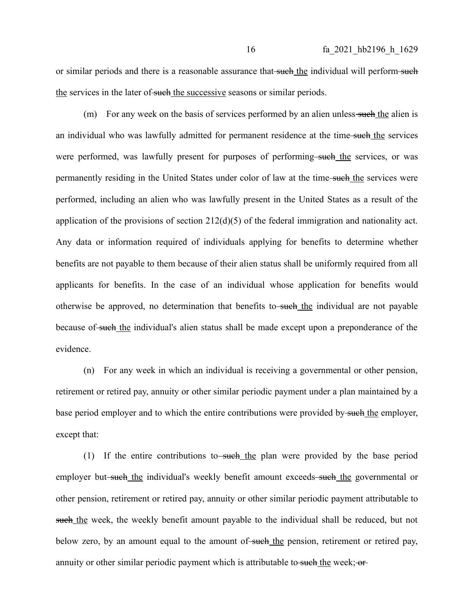or similar periods and there is a reasonable assurance that such the individual will perform such the services in the later of such the successive seasons or similar periods.

 $(m)$  For any week on the basis of services performed by an alien unless-such the alien is an individual who was lawfully admitted for permanent residence at the time-such the services were performed, was lawfully present for purposes of performing-such the services, or was permanently residing in the United States under color of law at the time-such the services were performed, including an alien who was lawfully present in the United States as a result of the application of the provisions of section 212(d)(5) of the federal immigration and nationality act. Any data or information required of individuals applying for benefits to determine whether benefits are not payable to them because of their alien status shall be uniformly required from all applicants for benefits. In the case of an individual whose application for benefits would otherwise be approved, no determination that benefits to-such the individual are not payable because of such the individual's alien status shall be made except upon a preponderance of the evidence.

(n) For any week in which an individual is receiving a governmental or other pension, retirement or retired pay, annuity or other similar periodic payment under a plan maintained by a base period employer and to which the entire contributions were provided by such the employer, except that:

(1) If the entire contributions to such the plan were provided by the base period employer but-such the individual's weekly benefit amount exceeds-such the governmental or other pension, retirement or retired pay, annuity or other similar periodic payment attributable to such the week, the weekly benefit amount payable to the individual shall be reduced, but not below zero, by an amount equal to the amount of such the pension, retirement or retired pay, annuity or other similar periodic payment which is attributable to such the week; or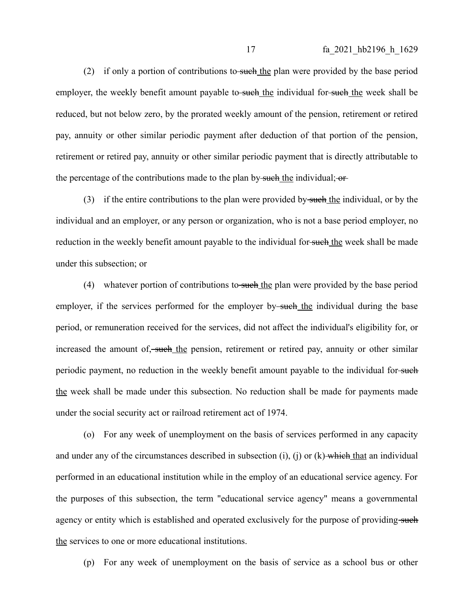(2) if only a portion of contributions to such the plan were provided by the base period employer, the weekly benefit amount payable to-such the individual for-such the week shall be reduced, but not below zero, by the prorated weekly amount of the pension, retirement or retired pay, annuity or other similar periodic payment after deduction of that portion of the pension, retirement or retired pay, annuity or other similar periodic payment that is directly attributable to the percentage of the contributions made to the plan by such the individual;  $\sigma$ 

(3) if the entire contributions to the plan were provided by such the individual, or by the individual and an employer, or any person or organization, who is not a base period employer, no reduction in the weekly benefit amount payable to the individual for-such the week shall be made under this subsection; or

(4) whatever portion of contributions to such the plan were provided by the base period employer, if the services performed for the employer by-such the individual during the base period, or remuneration received for the services, did not affect the individual's eligibility for, or increased the amount of, such the pension, retirement or retired pay, annuity or other similar periodic payment, no reduction in the weekly benefit amount payable to the individual for-such the week shall be made under this subsection. No reduction shall be made for payments made under the social security act or railroad retirement act of 1974.

(o) For any week of unemployment on the basis of services performed in any capacity and under any of the circumstances described in subsection (i), (j) or  $(k)$  which that an individual performed in an educational institution while in the employ of an educational service agency. For the purposes of this subsection, the term "educational service agency" means a governmental agency or entity which is established and operated exclusively for the purpose of providing-such the services to one or more educational institutions.

(p) For any week of unemployment on the basis of service as a school bus or other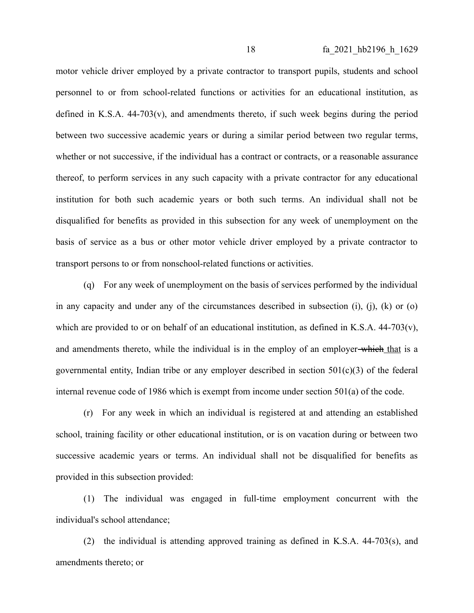motor vehicle driver employed by a private contractor to transport pupils, students and school personnel to or from school-related functions or activities for an educational institution, as defined in K.S.A. 44-703(v), and amendments thereto, if such week begins during the period between two successive academic years or during a similar period between two regular terms, whether or not successive, if the individual has a contract or contracts, or a reasonable assurance thereof, to perform services in any such capacity with a private contractor for any educational institution for both such academic years or both such terms. An individual shall not be disqualified for benefits as provided in this subsection for any week of unemployment on the basis of service as a bus or other motor vehicle driver employed by a private contractor to transport persons to or from nonschool-related functions or activities.

(q) For any week of unemployment on the basis of services performed by the individual in any capacity and under any of the circumstances described in subsection (i), (j), (k) or (o) which are provided to or on behalf of an educational institution, as defined in K.S.A. 44-703(v), and amendments thereto, while the individual is in the employ of an employer-which that is a governmental entity, Indian tribe or any employer described in section  $501(c)(3)$  of the federal internal revenue code of 1986 which is exempt from income under section 501(a) of the code.

(r) For any week in which an individual is registered at and attending an established school, training facility or other educational institution, or is on vacation during or between two successive academic years or terms. An individual shall not be disqualified for benefits as provided in this subsection provided:

(1) The individual was engaged in full-time employment concurrent with the individual's school attendance;

(2) the individual is attending approved training as defined in K.S.A. 44-703(s), and amendments thereto; or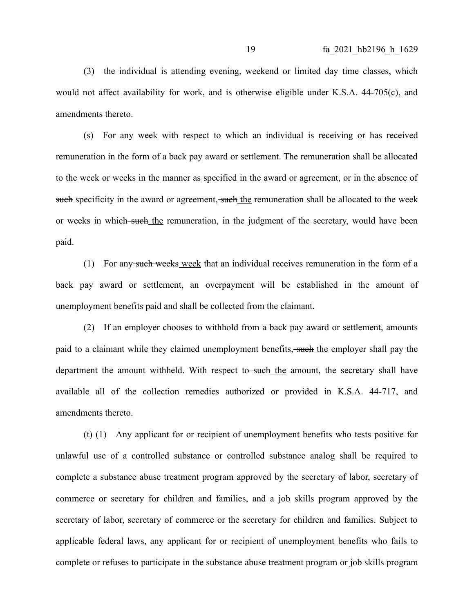(3) the individual is attending evening, weekend or limited day time classes, which would not affect availability for work, and is otherwise eligible under K.S.A. 44-705(c), and amendments thereto.

(s) For any week with respect to which an individual is receiving or has received remuneration in the form of a back pay award or settlement. The remuneration shall be allocated to the week or weeks in the manner as specified in the award or agreement, or in the absence of such specificity in the award or agreement, such the remuneration shall be allocated to the week or weeks in which such the remuneration, in the judgment of the secretary, would have been paid.

(1) For any such weeks week that an individual receives remuneration in the form of a back pay award or settlement, an overpayment will be established in the amount of unemployment benefits paid and shall be collected from the claimant.

(2) If an employer chooses to withhold from a back pay award or settlement, amounts paid to a claimant while they claimed unemployment benefits, such the employer shall pay the department the amount withheld. With respect to such the amount, the secretary shall have available all of the collection remedies authorized or provided in K.S.A. 44-717, and amendments thereto.

(t) (1) Any applicant for or recipient of unemployment benefits who tests positive for unlawful use of a controlled substance or controlled substance analog shall be required to complete a substance abuse treatment program approved by the secretary of labor, secretary of commerce or secretary for children and families, and a job skills program approved by the secretary of labor, secretary of commerce or the secretary for children and families. Subject to applicable federal laws, any applicant for or recipient of unemployment benefits who fails to complete or refuses to participate in the substance abuse treatment program or job skills program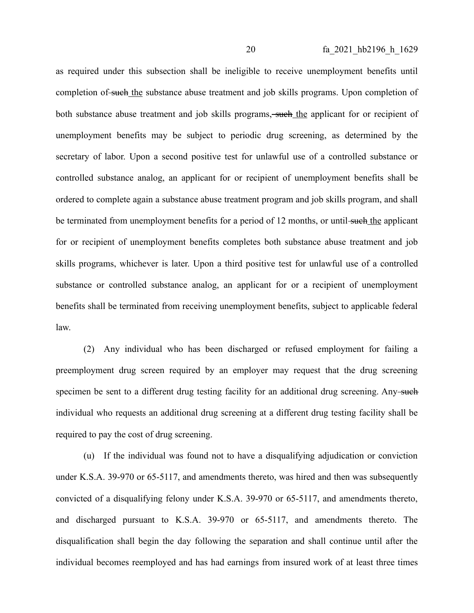as required under this subsection shall be ineligible to receive unemployment benefits until completion of such the substance abuse treatment and job skills programs. Upon completion of both substance abuse treatment and job skills programs, such the applicant for or recipient of unemployment benefits may be subject to periodic drug screening, as determined by the secretary of labor. Upon a second positive test for unlawful use of a controlled substance or controlled substance analog, an applicant for or recipient of unemployment benefits shall be ordered to complete again a substance abuse treatment program and job skills program, and shall be terminated from unemployment benefits for a period of 12 months, or until-such the applicant for or recipient of unemployment benefits completes both substance abuse treatment and job skills programs, whichever is later. Upon a third positive test for unlawful use of a controlled substance or controlled substance analog, an applicant for or a recipient of unemployment benefits shall be terminated from receiving unemployment benefits, subject to applicable federal law.

(2) Any individual who has been discharged or refused employment for failing a preemployment drug screen required by an employer may request that the drug screening specimen be sent to a different drug testing facility for an additional drug screening. Any such individual who requests an additional drug screening at a different drug testing facility shall be required to pay the cost of drug screening.

(u) If the individual was found not to have a disqualifying adjudication or conviction under K.S.A. 39-970 or 65-5117, and amendments thereto, was hired and then was subsequently convicted of a disqualifying felony under K.S.A. 39-970 or 65-5117, and amendments thereto, and discharged pursuant to K.S.A. 39-970 or 65-5117, and amendments thereto. The disqualification shall begin the day following the separation and shall continue until after the individual becomes reemployed and has had earnings from insured work of at least three times